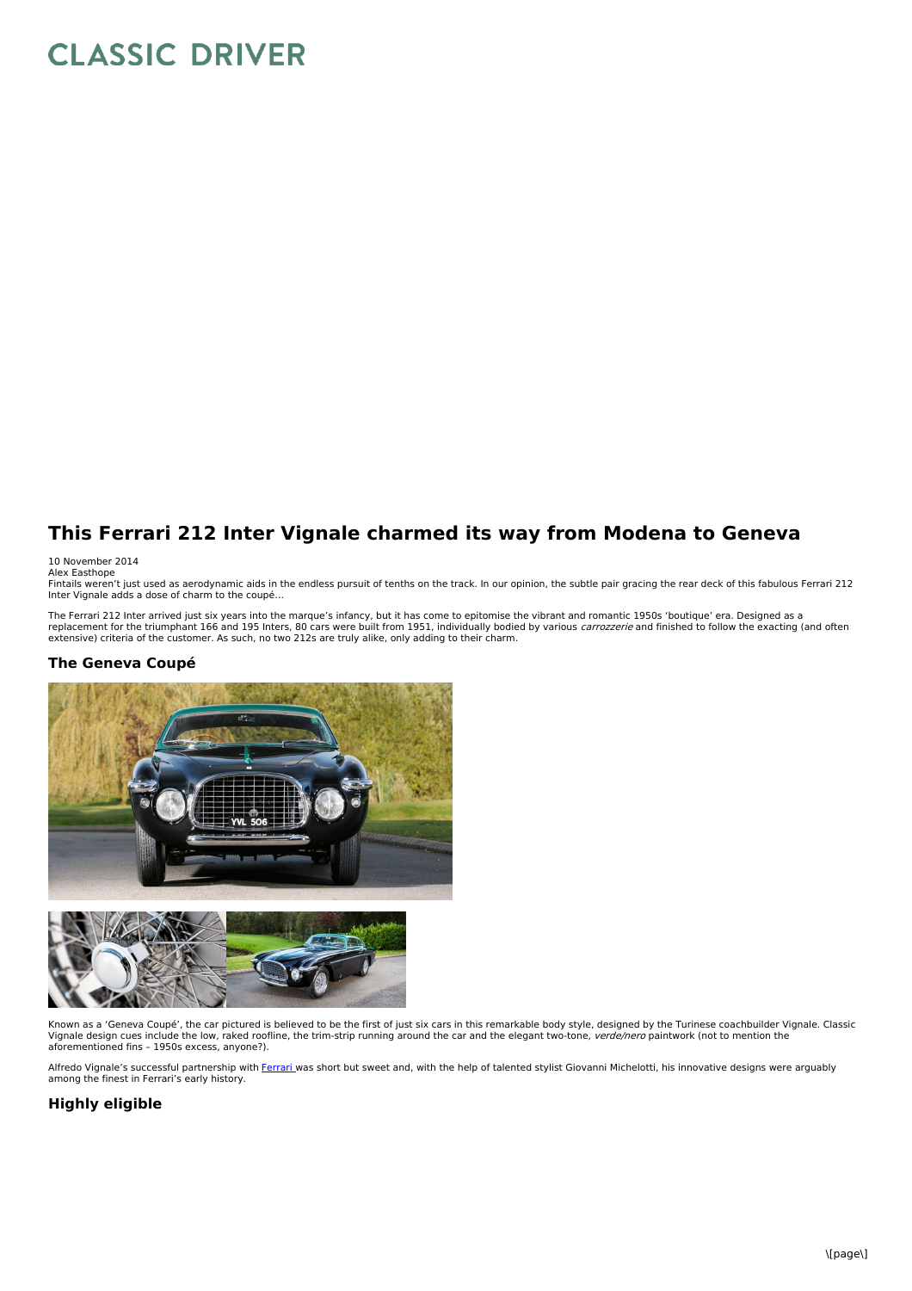# **CLASSIC DRIVER**

## **This Ferrari 212 Inter Vignale charmed its way from Modena to Geneva**

#### 10 November 2014

Alex Easthope<br>Fintails weren't just used as aerodynamic aids in the endless pursuit of tenths on the track. In our opinion, the subtle pair gracing the rear deck of this fabulous Ferrari 212<br>Inter Vignale adds a dose of ch

The Ferrari 212 Inter arrived just six years into the marque's infancy, but it has come to epitomise the vibrant and romantic 1950s 'boutique' era. Designed as a<br>replacement for the triumphant 166 and 195 Inters, 80 cars w

#### **The Geneva Coupé**





Known as a 'Geneva Coupé', the car pictured is believed to be the first of just six cars in this remarkable body style, designed by the Turinese coachbuilder Vignale. Classic Vignale design cues include the low, raked roofline, the trim-strip running around the car and the elegant two-tone, verde/nero paintwork (not to mention the aforementioned fins – 1950s excess, anyone?).

Alfredo Vignale's successful partnership with [Ferrari](http://www.classicdriver.com/en/cars/ferrari) was short but sweet and, with the help of talented stylist Giovanni Michelotti, his innovative designs were arguably among the finest in Ferrari's early history.

### **Highly eligible**